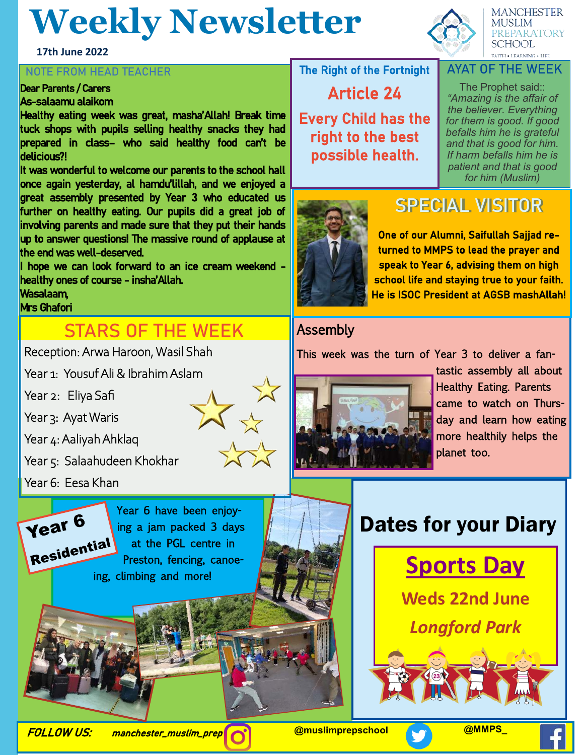## **Weekly Newsletter**

**17th June 2022**

#### **NOTE FROM HEAD TEACHER**

### Dear Parents / Carers

#### As-salaamu alaikom

Healthy eating week was great, masha'Allah! Break time tuck shops with pupils selling healthy snacks they had prepared in class– who said healthy food can't be delicious?!

It was wonderful to welcome our parents to the school hall once again yesterday, al hamdu'lillah, and we enjoyed a great assembly presented by Year 3 who educated us further on healthy eating. Our pupils did a great job of involving parents and made sure that they put their hands up to answer questions! The massive round of applause at the end was well-deserved.

I hope we can look forward to an ice cream weekend healthy ones of course - insha'Allah.

Wasalaam,

#### Mrs Ghafori

## **STARS OF THE WEEK**

Reception: Arwa Haroon, Wasil Shah

Year 1: Yousuf Ali & Ibrahim Aslam

Year 2: Eliya Safi

Year 3: Ayat Waris

Year 4: Aaliyah Ahklaq

Year 5: Salaahudeen Khokhar

Year 6: Eesa Khan



Year 6 have been enjoying a jam packed 3 days at the PGL centre in Preston, fencing, canoeing, climbing and more!



**MANCHESTER MUSLIM PREPARATORY SCHOOL FAITH . LEARNING . LIFE** 

### The Right of the Fortnight

Article 24

Every Child has the right to the best possible health.

The Prophet said:: *"Amazing is the affair of the believer. Everything for them is good. If good befalls him he is grateful and that is good for him. If harm befalls him he is patient and that is good for him (Muslim)* 

**AYAT OF THE WEEK**



## **SPECIAL VISITOR**

One of our Alumni, Saifullah Sajjad returned to MMPS to lead the prayer and speak to Year 6, advising them on high school life and staying true to your faith. He is ISOC President at AGSB mashAllah!

### **Assembly**

This week was the turn of Year 3 to deliver a fan-



tastic assembly all about Healthy Eating. Parents came to watch on Thursday and learn how eating more healthily helps the planet too.

## Dates for your Diary



**Weds 22nd June** *Longford Park*



FOLLOW US: manchester\_muslim\_prep **@muslimprepschool @MMPS\_**